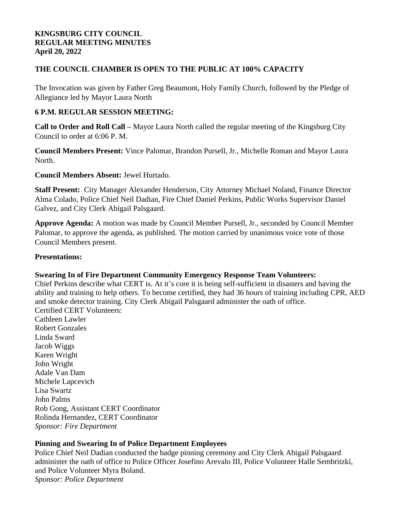#### **KINGSBURG CITY COUNCIL REGULAR MEETING MINUTES April 20, 2022**

## **THE COUNCIL CHAMBER IS OPEN TO THE PUBLIC AT 100% CAPACITY**

The Invocation was given by Father Greg Beaumont, Holy Family Church, followed by the Pledge of Allegiance led by Mayor Laura North

#### **6 P.M. REGULAR SESSION MEETING:**

**Call to Order and Roll Call –** Mayor Laura North called the regular meeting of the Kingsburg City Council to order at 6:06 P. M.

**Council Members Present:** Vince Palomar, Brandon Pursell, Jr., Michelle Roman and Mayor Laura North.

**Council Members Absent:** Jewel Hurtado.

**Staff Present:** City Manager Alexander Henderson, City Attorney Michael Noland, Finance Director Alma Colado, Police Chief Neil Dadian, Fire Chief Daniel Perkins, Public Works Supervisor Daniel Galvez, and City Clerk Abigail Palsgaard.

**Approve Agenda:** A motion was made by Council Member Pursell, Jr., seconded by Council Member Palomar, to approve the agenda, as published. The motion carried by unanimous voice vote of those Council Members present.

#### **Presentations:**

#### **Swearing In of Fire Department Community Emergency Response Team Volunteers:**

Chief Perkins describe what CERT is. At it's core it is being self-sufficient in disasters and having the ability and training to help others. To become certified, they had 36 hours of training including CPR, AED and smoke detector training. City Clerk Abigail Palsgaard administer the oath of office. Certified CERT Volunteers: Cathleen Lawler Robert Gonzales

Linda Sward Jacob Wiggs Karen Wright John Wright Adale Van Dam Michele Lapcevich Lisa Swartz John Palms Rob Gong, Assistant CERT Coordinator Rolinda Hernandez, CERT Coordinator *Sponsor: Fire Department*

#### **Pinning and Swearing In of Police Department Employees**

Police Chief Neil Dadian conducted the badge pinning ceremony and City Clerk Abigail Palsgaard administer the oath of office to Police Officer Josefino Arevalo III, Police Volunteer Halle Sembritzki, and Police Volunteer Myra Boland. *Sponsor: Police Department*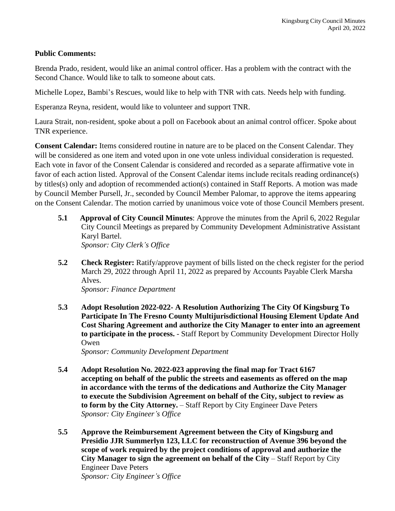#### **Public Comments:**

Brenda Prado, resident, would like an animal control officer. Has a problem with the contract with the Second Chance. Would like to talk to someone about cats.

Michelle Lopez, Bambi's Rescues, would like to help with TNR with cats. Needs help with funding.

Esperanza Reyna, resident, would like to volunteer and support TNR.

Laura Strait, non-resident, spoke about a poll on Facebook about an animal control officer. Spoke about TNR experience.

**Consent Calendar:** Items considered routine in nature are to be placed on the Consent Calendar. They will be considered as one item and voted upon in one vote unless individual consideration is requested. Each vote in favor of the Consent Calendar is considered and recorded as a separate affirmative vote in favor of each action listed. Approval of the Consent Calendar items include recitals reading ordinance(s) by titles(s) only and adoption of recommended action(s) contained in Staff Reports. A motion was made by Council Member Pursell, Jr., seconded by Council Member Palomar, to approve the items appearing on the Consent Calendar. The motion carried by unanimous voice vote of those Council Members present.

- **5.1 Approval of City Council Minutes**: Approve the minutes from the April 6, 2022 Regular City Council Meetings as prepared by Community Development Administrative Assistant Karyl Bartel. *Sponsor: City Clerk's Office*
- **5.2 Check Register:** Ratify/approve payment of bills listed on the check register for the period March 29, 2022 through April 11, 2022 as prepared by Accounts Payable Clerk Marsha Alves.

*Sponsor: Finance Department*

**5.3 Adopt Resolution 2022-022- A Resolution Authorizing The City Of Kingsburg To Participate In The Fresno County Multijurisdictional Housing Element Update And Cost Sharing Agreement and authorize the City Manager to enter into an agreement to participate in the process.** - Staff Report by Community Development Director Holly Owen

*Sponsor: Community Development Department*

- **5.4 Adopt Resolution No. 2022-023 approving the final map for Tract 6167 accepting on behalf of the public the streets and easements as offered on the map in accordance with the terms of the dedications and Authorize the City Manager to execute the Subdivision Agreement on behalf of the City, subject to review as to form by the City Attorney.** – Staff Report by City Engineer Dave Peters *Sponsor: City Engineer's Office*
- **5.5 Approve the Reimbursement Agreement between the City of Kingsburg and Presidio JJR Summerlyn 123, LLC for reconstruction of Avenue 396 beyond the scope of work required by the project conditions of approval and authorize the City Manager to sign the agreement on behalf of the City** – Staff Report by City Engineer Dave Peters *Sponsor: City Engineer's Office*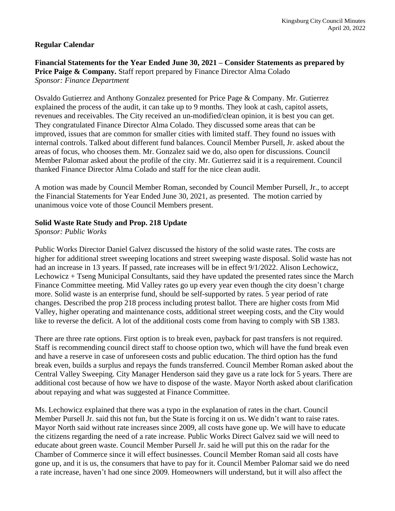#### **Regular Calendar**

**Financial Statements for the Year Ended June 30, 2021 – Consider Statements as prepared by Price Paige & Company.** Staff report prepared by Finance Director Alma Colado *Sponsor: Finance Department*

Osvaldo Gutierrez and Anthony Gonzalez presented for Price Page & Company. Mr. Gutierrez explained the process of the audit, it can take up to 9 months. They look at cash, capitol assets, revenues and receivables. The City received an un-modified/clean opinion, it is best you can get. They congratulated Finance Director Alma Colado. They discussed some areas that can be improved, issues that are common for smaller cities with limited staff. They found no issues with internal controls. Talked about different fund balances. Council Member Pursell, Jr. asked about the areas of focus, who chooses them. Mr. Gonzalez said we do, also open for discussions. Council Member Palomar asked about the profile of the city. Mr. Gutierrez said it is a requirement. Council thanked Finance Director Alma Colado and staff for the nice clean audit.

A motion was made by Council Member Roman, seconded by Council Member Pursell, Jr., to accept the Financial Statements for Year Ended June 30, 2021, as presented. The motion carried by unanimous voice vote of those Council Members present.

#### **Solid Waste Rate Study and Prop. 218 Update**

*Sponsor: Public Works*

Public Works Director Daniel Galvez discussed the history of the solid waste rates. The costs are higher for additional street sweeping locations and street sweeping waste disposal. Solid waste has not had an increase in 13 years. If passed, rate increases will be in effect 9/1/2022. Alison Lechowicz, Lechowicz + Tseng Municipal Consultants, said they have updated the presented rates since the March Finance Committee meeting. Mid Valley rates go up every year even though the city doesn't charge more. Solid waste is an enterprise fund, should be self-supported by rates. 5 year period of rate changes. Described the prop 218 process including protest ballot. There are higher costs from Mid Valley, higher operating and maintenance costs, additional street weeping costs, and the City would like to reverse the deficit. A lot of the additional costs come from having to comply with SB 1383.

There are three rate options. First option is to break even, payback for past transfers is not required. Staff is recommending council direct staff to choose option two, which will have the fund break even and have a reserve in case of unforeseen costs and public education. The third option has the fund break even, builds a surplus and repays the funds transferred. Council Member Roman asked about the Central Valley Sweeping. City Manager Henderson said they gave us a rate lock for 5 years. There are additional cost because of how we have to dispose of the waste. Mayor North asked about clarification about repaying and what was suggested at Finance Committee.

Ms. Lechowicz explained that there was a typo in the explanation of rates in the chart. Council Member Pursell Jr. said this not fun, but the State is forcing it on us. We didn't want to raise rates. Mayor North said without rate increases since 2009, all costs have gone up. We will have to educate the citizens regarding the need of a rate increase. Public Works Direct Galvez said we will need to educate about green waste. Council Member Pursell Jr. said he will put this on the radar for the Chamber of Commerce since it will effect businesses. Council Member Roman said all costs have gone up, and it is us, the consumers that have to pay for it. Council Member Palomar said we do need a rate increase, haven't had one since 2009. Homeowners will understand, but it will also affect the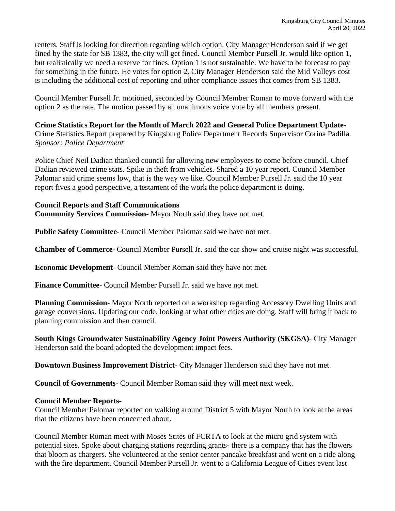renters. Staff is looking for direction regarding which option. City Manager Henderson said if we get fined by the state for SB 1383, the city will get fined. Council Member Pursell Jr. would like option 1, but realistically we need a reserve for fines. Option 1 is not sustainable. We have to be forecast to pay for something in the future. He votes for option 2. City Manager Henderson said the Mid Valleys cost is including the additional cost of reporting and other compliance issues that comes from SB 1383.

Council Member Pursell Jr. motioned, seconded by Council Member Roman to move forward with the option 2 as the rate. The motion passed by an unanimous voice vote by all members present.

# **Crime Statistics Report for the Month of March 2022 and General Police Department Update-**

Crime Statistics Report prepared by Kingsburg Police Department Records Supervisor Corina Padilla. *Sponsor: Police Department*

Police Chief Neil Dadian thanked council for allowing new employees to come before council. Chief Dadian reviewed crime stats. Spike in theft from vehicles. Shared a 10 year report. Council Member Palomar said crime seems low, that is the way we like. Council Member Pursell Jr. said the 10 year report fives a good perspective, a testament of the work the police department is doing.

#### **Council Reports and Staff Communications**

**Community Services Commission**- Mayor North said they have not met.

**Public Safety Committee**- Council Member Palomar said we have not met.

**Chamber of Commerce**- Council Member Pursell Jr. said the car show and cruise night was successful.

**Economic Development**- Council Member Roman said they have not met.

**Finance Committee**- Council Member Pursell Jr. said we have not met.

**Planning Commission**- Mayor North reported on a workshop regarding Accessory Dwelling Units and garage conversions. Updating our code, looking at what other cities are doing. Staff will bring it back to planning commission and then council.

**South Kings Groundwater Sustainability Agency Joint Powers Authority (SKGSA)**- City Manager Henderson said the board adopted the development impact fees.

**Downtown Business Improvement District**- City Manager Henderson said they have not met.

**Council of Governments**- Council Member Roman said they will meet next week.

#### **Council Member Reports**-

Council Member Palomar reported on walking around District 5 with Mayor North to look at the areas that the citizens have been concerned about.

Council Member Roman meet with Moses Stites of FCRTA to look at the micro grid system with potential sites. Spoke about charging stations regarding grants- there is a company that has the flowers that bloom as chargers. She volunteered at the senior center pancake breakfast and went on a ride along with the fire department. Council Member Pursell Jr. went to a California League of Cities event last